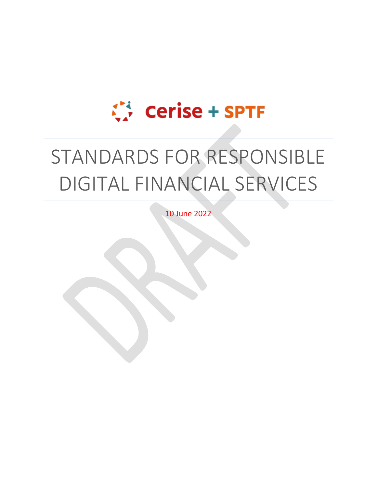# Cerise + SPTF

# STANDARDS FOR RESPONSIBLE DIGITAL FINANCIAL SERVICES

10 June 2022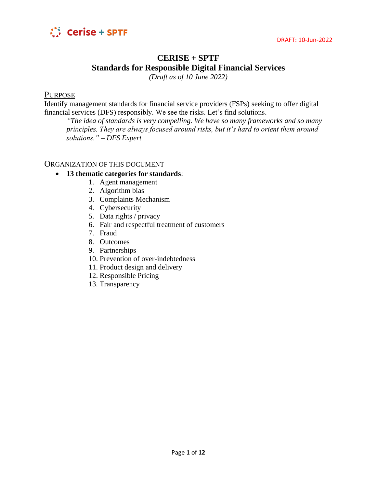

# **CERISE + SPTF Standards for Responsible Digital Financial Services**

*(Draft as of 10 June 2022)*

#### PURPOSE

Identify management standards for financial service providers (FSPs) seeking to offer digital financial services (DFS) responsibly. We see the risks. Let's find solutions.

*"The idea of standards is very compelling. We have so many frameworks and so many principles. They are always focused around risks, but it's hard to orient them around solutions." – DFS Expert*

#### ORGANIZATION OF THIS DOCUMENT

- **13 thematic categories for standards**:
	- 1. Agent management
	- 2. Algorithm bias
	- 3. Complaints Mechanism
	- 4. Cybersecurity
	- 5. Data rights / privacy
	- 6. Fair and respectful treatment of customers
	- 7. Fraud
	- 8. Outcomes
	- 9. Partnerships
	- 10. Prevention of over-indebtedness
	- 11. Product design and delivery
	- 12. Responsible Pricing
	- 13. Transparency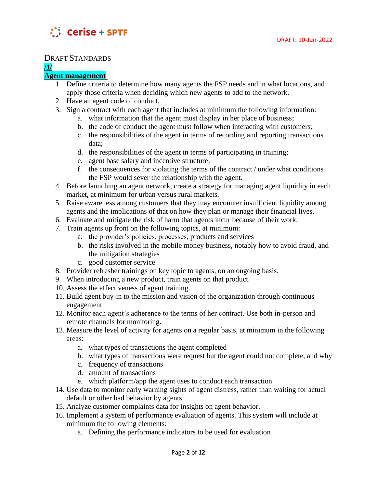

#### DRAFT STANDARDS

#### **/1/**

### **Agent management**

- 1. Define criteria to determine how many agents the FSP needs and in what locations, and apply those criteria when deciding which new agents to add to the network.
- 2. Have an agent code of conduct.
- 3. Sign a contract with each agent that includes at minimum the following information:
	- a. what information that the agent must display in her place of business;
	- b. the code of conduct the agent must follow when interacting with customers;
	- c. the responsibilities of the agent in terms of recording and reporting transactions data;
	- d. the responsibilities of the agent in terms of participating in training;
	- e. agent base salary and incentive structure;
	- f. the consequences for violating the terms of the contract / under what conditions the FSP would sever the relationship with the agent.
- 4. Before launching an agent network, create a strategy for managing agent liquidity in each market, at minimum for urban versus rural markets.
- 5. Raise awareness among customers that they may encounter insufficient liquidity among agents and the implications of that on how they plan or manage their financial lives.
- 6. Evaluate and mitigate the risk of harm that agents incur because of their work.
- 7. Train agents up front on the following topics, at minimum:
	- a. the provider's policies, processes, products and services
	- b. the risks involved in the mobile money business, notably how to avoid fraud, and the mitigation strategies
	- c. good customer service
- 8. Provider refresher trainings on key topic to agents, on an ongoing basis.
- 9. When introducing a new product, train agents on that product.
- 10. Assess the effectiveness of agent training.
- 11. Build agent buy-in to the mission and vision of the organization through continuous engagement
- 12. Monitor each agent's adherence to the terms of her contract. Use both in-person and remote channels for monitoring.
- 13. Measure the level of activity for agents on a regular basis, at minimum in the following areas:
	- a. what types of transactions the agent completed
	- b. what types of transactions were request but the agent could not complete, and why
	- c. frequency of transactions
	- d. amount of transactions
	- e. which platform/app the agent uses to conduct each transaction
- 14. Use data to monitor early warning sights of agent distress, rather than waiting for actual default or other bad behavior by agents.
- 15. Analyze customer complaints data for insights on agent behavior.
- 16. Implement a system of performance evaluation of agents. This system will include at minimum the following elements:
	- a. Defining the performance indicators to be used for evaluation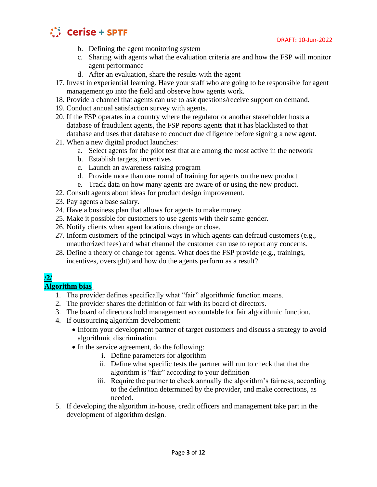

- b. Defining the agent monitoring system
- c. Sharing with agents what the evaluation criteria are and how the FSP will monitor agent performance
- d. After an evaluation, share the results with the agent
- 17. Invest in experiential learning. Have your staff who are going to be responsible for agent management go into the field and observe how agents work.
- 18. Provide a channel that agents can use to ask questions/receive support on demand.
- 19. Conduct annual satisfaction survey with agents.
- 20. If the FSP operates in a country where the regulator or another stakeholder hosts a database of fraudulent agents, the FSP reports agents that it has blacklisted to that database and uses that database to conduct due diligence before signing a new agent.
- 21. When a new digital product launches:
	- a. Select agents for the pilot test that are among the most active in the network
	- b. Establish targets, incentives
	- c. Launch an awareness raising program
	- d. Provide more than one round of training for agents on the new product
	- e. Track data on how many agents are aware of or using the new product.
- 22. Consult agents about ideas for product design improvement.
- 23. Pay agents a base salary.
- 24. Have a business plan that allows for agents to make money.
- 25. Make it possible for customers to use agents with their same gender.
- 26. Notify clients when agent locations change or close.
- 27. Inform customers of the principal ways in which agents can defraud customers (e.g., unauthorized fees) and what channel the customer can use to report any concerns.
- 28. Define a theory of change for agents. What does the FSP provide (e.g., trainings, incentives, oversight) and how do the agents perform as a result?

### **/2/**

#### **Algorithm bias**

- 1. The provider defines specifically what "fair" algorithmic function means.
- 2. The provider shares the definition of fair with its board of directors.
- 3. The board of directors hold management accountable for fair algorithmic function.
- 4. If outsourcing algorithm development:
	- Inform your development partner of target customers and discuss a strategy to avoid algorithmic discrimination.
	- In the service agreement, do the following:
		- i. Define parameters for algorithm
		- ii. Define what specific tests the partner will run to check that that the algorithm is "fair" according to your definition
		- iii. Require the partner to check annually the algorithm's fairness, according to the definition determined by the provider, and make corrections, as needed.
- 5. If developing the algorithm in-house, credit officers and management take part in the development of algorithm design.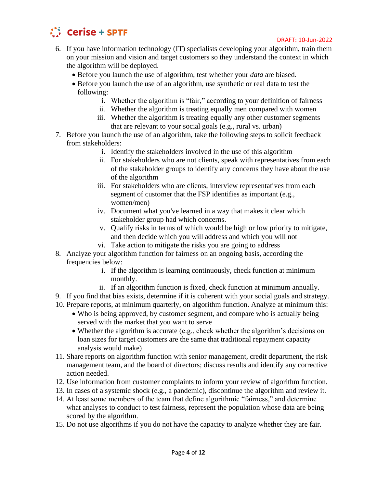

- 6. If you have information technology (IT) specialists developing your algorithm, train them on your mission and vision and target customers so they understand the context in which the algorithm will be deployed.
	- Before you launch the use of algorithm, test whether your *data* are biased.
	- Before you launch the use of an algorithm, use synthetic or real data to test the following:
		- i. Whether the algorithm is "fair," according to your definition of fairness
		- ii. Whether the algorithm is treating equally men compared with women
		- iii. Whether the algorithm is treating equally any other customer segments that are relevant to your social goals (e.g., rural vs. urban)
- 7. Before you launch the use of an algorithm, take the following steps to solicit feedback from stakeholders:
	- i. Identify the stakeholders involved in the use of this algorithm
	- ii. For stakeholders who are not clients, speak with representatives from each of the stakeholder groups to identify any concerns they have about the use of the algorithm
	- iii. For stakeholders who are clients, interview representatives from each segment of customer that the FSP identifies as important (e.g., women/men)
	- iv. Document what you've learned in a way that makes it clear which stakeholder group had which concerns.
	- v. Qualify risks in terms of which would be high or low priority to mitigate, and then decide which you will address and which you will not
	- vi. Take action to mitigate the risks you are going to address
- 8. Analyze your algorithm function for fairness on an ongoing basis, according the frequencies below:
	- i. If the algorithm is learning continuously, check function at minimum monthly.
	- ii. If an algorithm function is fixed, check function at minimum annually.
- 9. If you find that bias exists, determine if it is coherent with your social goals and strategy.
- 10. Prepare reports, at minimum quarterly, on algorithm function. Analyze at minimum this: • Who is being approved, by customer segment, and compare who is actually being served with the market that you want to serve
	- Whether the algorithm is accurate (e.g., check whether the algorithm's decisions on loan sizes for target customers are the same that traditional repayment capacity analysis would make)
- 11. Share reports on algorithm function with senior management, credit department, the risk management team, and the board of directors; discuss results and identify any corrective action needed.
- 12. Use information from customer complaints to inform your review of algorithm function.
- 13. In cases of a systemic shock (e.g., a pandemic), discontinue the algorithm and review it.
- 14. At least some members of the team that define algorithmic "fairness," and determine what analyses to conduct to test fairness, represent the population whose data are being scored by the algorithm.
- 15. Do not use algorithms if you do not have the capacity to analyze whether they are fair.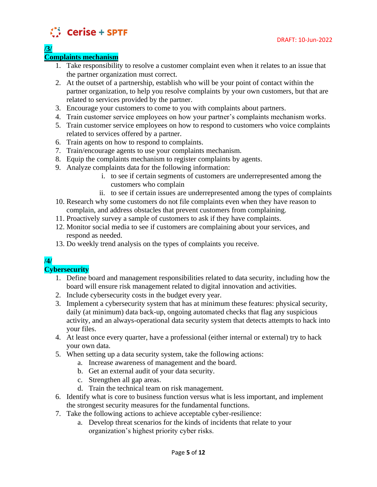

#### **/3/ Complaints mechanism**

- 1. Take responsibility to resolve a customer complaint even when it relates to an issue that the partner organization must correct.
- 2. At the outset of a partnership, establish who will be your point of contact within the partner organization, to help you resolve complaints by your own customers, but that are related to services provided by the partner.
- 3. Encourage your customers to come to you with complaints about partners.
- 4. Train customer service employees on how your partner's complaints mechanism works.
- 5. Train customer service employees on how to respond to customers who voice complaints related to services offered by a partner.
- 6. Train agents on how to respond to complaints.
- 7. Train/encourage agents to use your complaints mechanism.
- 8. Equip the complaints mechanism to register complaints by agents.
- 9. Analyze complaints data for the following information:
	- i. to see if certain segments of customers are underrepresented among the customers who complain
	- ii. to see if certain issues are underrepresented among the types of complaints
- 10. Research why some customers do not file complaints even when they have reason to complain, and address obstacles that prevent customers from complaining.
- 11. Proactively survey a sample of customers to ask if they have complaints.
- 12. Monitor social media to see if customers are complaining about your services, and respond as needed.
- 13. Do weekly trend analysis on the types of complaints you receive.

#### **/4/**

## **Cybersecurity**

- 1. Define board and management responsibilities related to data security, including how the board will ensure risk management related to digital innovation and activities.
- 2. Include cybersecurity costs in the budget every year.
- 3. Implement a cybersecurity system that has at minimum these features: physical security, daily (at minimum) data back-up, ongoing automated checks that flag any suspicious activity, and an always-operational data security system that detects attempts to hack into your files.
- 4. At least once every quarter, have a professional (either internal or external) try to hack your own data.
- 5. When setting up a data security system, take the following actions:
	- a. Increase awareness of management and the board.
		- b. Get an external audit of your data security.
		- c. Strengthen all gap areas.
		- d. Train the technical team on risk management.
- 6. Identify what is core to business function versus what is less important, and implement the strongest security measures for the fundamental functions.
- 7. Take the following actions to achieve acceptable cyber-resilience:
	- a. Develop threat scenarios for the kinds of incidents that relate to your organization's highest priority cyber risks.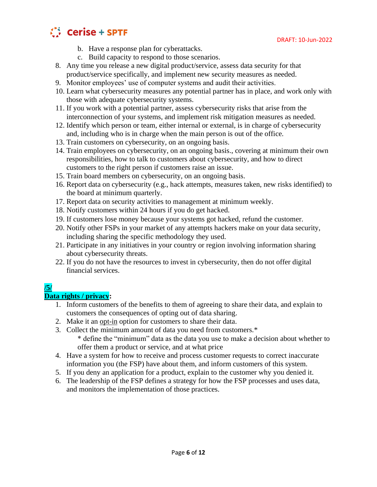

- b. Have a response plan for cyberattacks.
- c. Build capacity to respond to those scenarios.
- 8. Any time you release a new digital product/service, assess data security for that product/service specifically, and implement new security measures as needed.
- 9. Monitor employees' use of computer systems and audit their activities.
- 10. Learn what cybersecurity measures any potential partner has in place, and work only with those with adequate cybersecurity systems.
- 11. If you work with a potential partner, assess cybersecurity risks that arise from the interconnection of your systems, and implement risk mitigation measures as needed.
- 12. Identify which person or team, either internal or external, is in charge of cybersecurity and, including who is in charge when the main person is out of the office.
- 13. Train customers on cybersecurity, on an ongoing basis.
- 14. Train employees on cybersecurity, on an ongoing basis., covering at minimum their own responsibilities, how to talk to customers about cybersecurity, and how to direct customers to the right person if customers raise an issue.
- 15. Train board members on cybersecurity, on an ongoing basis.
- 16. Report data on cybersecurity (e.g., hack attempts, measures taken, new risks identified) to the board at minimum quarterly.
- 17. Report data on security activities to management at minimum weekly.
- 18. Notify customers within 24 hours if you do get hacked.
- 19. If customers lose money because your systems got hacked, refund the customer.
- 20. Notify other FSPs in your market of any attempts hackers make on your data security, including sharing the specific methodology they used.
- 21. Participate in any initiatives in your country or region involving information sharing about cybersecurity threats.
- 22. If you do not have the resources to invest in cybersecurity, then do not offer digital financial services.

# **/5/**

#### **Data rights / privacy:**

- 1. Inform customers of the benefits to them of agreeing to share their data, and explain to customers the consequences of opting out of data sharing.
- 2. Make it an opt-in option for customers to share their data.
- 3. Collect the minimum amount of data you need from customers.\*
	- \* define the "minimum" data as the data you use to make a decision about whether to offer them a product or service, and at what price
- 4. Have a system for how to receive and process customer requests to correct inaccurate information you (the FSP) have about them, and inform customers of this system.
- 5. If you deny an application for a product, explain to the customer why you denied it.
- 6. The leadership of the FSP defines a strategy for how the FSP processes and uses data, and monitors the implementation of those practices.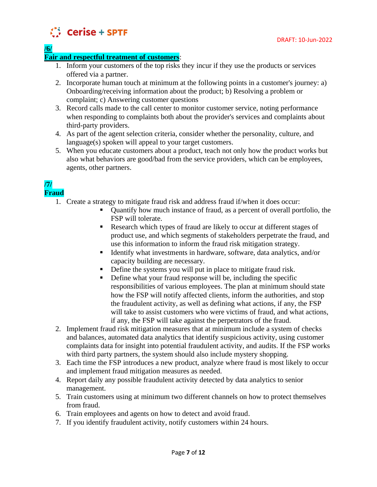

**/6/**

#### **Fair and respectful treatment of customers**:

- 1. Inform your customers of the top risks they incur if they use the products or services offered via a partner.
- 2. Incorporate human touch at minimum at the following points in a customer's journey: a) Onboarding/receiving information about the product; b) Resolving a problem or complaint; c) Answering customer questions
- 3. Record calls made to the call center to monitor customer service, noting performance when responding to complaints both about the provider's services and complaints about third-party providers.
- 4. As part of the agent selection criteria, consider whether the personality, culture, and language(s) spoken will appeal to your target customers.
- 5. When you educate customers about a product, teach not only how the product works but also what behaviors are good/bad from the service providers, which can be employees, agents, other partners.

#### **/7/ Fraud**

- 1. Create a strategy to mitigate fraud risk and address fraud if/when it does occur:
	- Quantify how much instance of fraud, as a percent of overall portfolio, the FSP will tolerate.
	- Research which types of fraud are likely to occur at different stages of product use, and which segments of stakeholders perpetrate the fraud, and use this information to inform the fraud risk mitigation strategy.
	- Identify what investments in hardware, software, data analytics, and/or capacity building are necessary.
	- **•** Define the systems you will put in place to mitigate fraud risk.
	- Define what your fraud response will be, including the specific responsibilities of various employees. The plan at minimum should state how the FSP will notify affected clients, inform the authorities, and stop the fraudulent activity, as well as defining what actions, if any, the FSP will take to assist customers who were victims of fraud, and what actions, if any, the FSP will take against the perpetrators of the fraud.
- 2. Implement fraud risk mitigation measures that at minimum include a system of checks and balances, automated data analytics that identify suspicious activity, using customer complaints data for insight into potential fraudulent activity, and audits. If the FSP works with third party partners, the system should also include mystery shopping.
- 3. Each time the FSP introduces a new product, analyze where fraud is most likely to occur and implement fraud mitigation measures as needed.
- 4. Report daily any possible fraudulent activity detected by data analytics to senior management.
- 5. Train customers using at minimum two different channels on how to protect themselves from fraud.
- 6. Train employees and agents on how to detect and avoid fraud.
- 7. If you identify fraudulent activity, notify customers within 24 hours.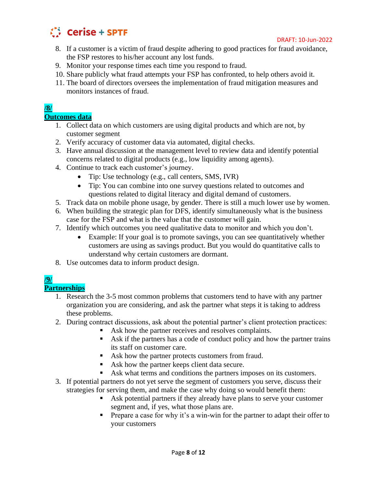

- 8. If a customer is a victim of fraud despite adhering to good practices for fraud avoidance, the FSP restores to his/her account any lost funds.
- 9. Monitor your response times each time you respond to fraud.
- 10. Share publicly what fraud attempts your FSP has confronted, to help others avoid it.
- 11. The board of directors oversees the implementation of fraud mitigation measures and monitors instances of fraud.

#### **/8/**

#### **Outcomes data**

- 1. Collect data on which customers are using digital products and which are not, by customer segment
- 2. Verify accuracy of customer data via automated, digital checks.
- 3. Have annual discussion at the management level to review data and identify potential concerns related to digital products (e.g., low liquidity among agents).
- 4. Continue to track each customer's journey.
	- Tip: Use technology (e.g., call centers, SMS, IVR)
	- Tip: You can combine into one survey questions related to outcomes and questions related to digital literacy and digital demand of customers.
- 5. Track data on mobile phone usage, by gender. There is still a much lower use by women.
- 6. When building the strategic plan for DFS, identify simultaneously what is the business case for the FSP and what is the value that the customer will gain.
- 7. Identify which outcomes you need qualitative data to monitor and which you don't.
	- Example: If your goal is to promote savings, you can see quantitatively whether customers are using as savings product. But you would do quantitative calls to understand why certain customers are dormant.
- 8. Use outcomes data to inform product design.

#### **/9/**

#### **Partnerships**

- 1. Research the 3-5 most common problems that customers tend to have with any partner organization you are considering, and ask the partner what steps it is taking to address these problems.
- 2. During contract discussions, ask about the potential partner's client protection practices:
	- Ask how the partner receives and resolves complaints.
	- Ask if the partners has a code of conduct policy and how the partner trains its staff on customer care.
	- Ask how the partner protects customers from fraud.
	- Ask how the partner keeps client data secure.
	- Ask what terms and conditions the partners imposes on its customers.
- 3. If potential partners do not yet serve the segment of customers you serve, discuss their strategies for serving them, and make the case why doing so would benefit them:
	- Ask potential partners if they already have plans to serve your customer segment and, if yes, what those plans are.
	- Prepare a case for why it's a win-win for the partner to adapt their offer to your customers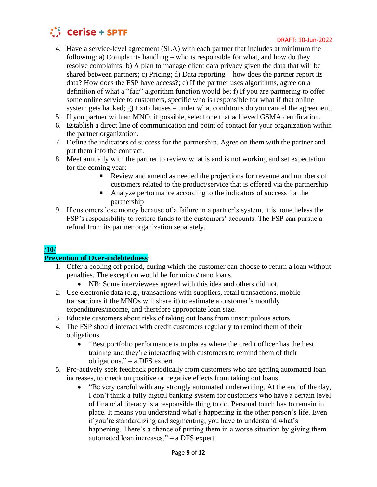

- 4. Have a service-level agreement (SLA) with each partner that includes at minimum the following: a) Complaints handling – who is responsible for what, and how do they resolve complaints; b) A plan to manage client data privacy given the data that will be shared between partners; c) Pricing; d) Data reporting – how does the partner report its data? How does the FSP have access?; e) If the partner uses algorithms, agree on a definition of what a "fair" algorithm function would be; f) If you are partnering to offer some online service to customers, specific who is responsible for what if that online system gets hacked; g) Exit clauses – under what conditions do you cancel the agreement;
- 5. If you partner with an MNO, if possible, select one that achieved GSMA certification.
- 6. Establish a direct line of communication and point of contact for your organization within the partner organization.
- 7. Define the indicators of success for the partnership. Agree on them with the partner and put them into the contract.
- 8. Meet annually with the partner to review what is and is not working and set expectation for the coming year:
	- Review and amend as needed the projections for revenue and numbers of customers related to the product/service that is offered via the partnership
	- Analyze performance according to the indicators of success for the partnership
- 9. If customers lose money because of a failure in a partner's system, it is nonetheless the FSP's responsibility to restore funds to the customers' accounts. The FSP can pursue a refund from its partner organization separately.

#### **/10/**

#### **Prevention of Over-indebtedness**:

- 1. Offer a cooling off period, during which the customer can choose to return a loan without penalties. The exception would be for micro/nano loans.
	- NB: Some interviewees agreed with this idea and others did not.
- 2. Use electronic data (e.g., transactions with suppliers, retail transactions, mobile transactions if the MNOs will share it) to estimate a customer's monthly expenditures/income, and therefore appropriate loan size.
- 3. Educate customers about risks of taking out loans from unscrupulous actors.
- 4. The FSP should interact with credit customers regularly to remind them of their obligations.
	- "Best portfolio performance is in places where the credit officer has the best training and they're interacting with customers to remind them of their obligations." – a DFS expert
- 5. Pro-actively seek feedback periodically from customers who are getting automated loan increases, to check on positive or negative effects from taking out loans.
	- "Be very careful with any strongly automated underwriting. At the end of the day, I don't think a fully digital banking system for customers who have a certain level of financial literacy is a responsible thing to do. Personal touch has to remain in place. It means you understand what's happening in the other person's life. Even if you're standardizing and segmenting, you have to understand what's happening. There's a chance of putting them in a worse situation by giving them automated loan increases." – a DFS expert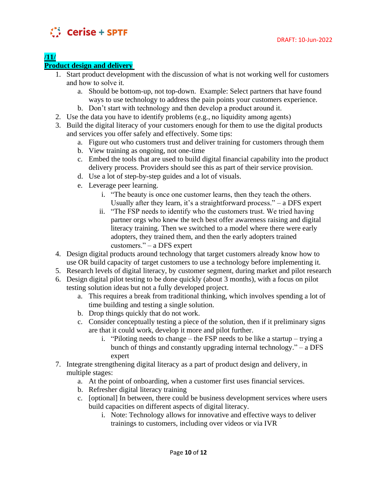

# **/11/**

#### **Product design and delivery**

- 1. Start product development with the discussion of what is not working well for customers and how to solve it.
	- a. Should be bottom-up, not top-down. Example: Select partners that have found ways to use technology to address the pain points your customers experience.
	- b. Don't start with technology and then develop a product around it.
- 2. Use the data you have to identify problems (e.g., no liquidity among agents)
- 3. Build the digital literacy of your customers enough for them to use the digital products and services you offer safely and effectively. Some tips:
	- a. Figure out who customers trust and deliver training for customers through them
	- b. View training as ongoing, not one-time
	- c. Embed the tools that are used to build digital financial capability into the product delivery process. Providers should see this as part of their service provision.
	- d. Use a lot of step-by-step guides and a lot of visuals.
	- e. Leverage peer learning.
		- i. "The beauty is once one customer learns, then they teach the others. Usually after they learn, it's a straightforward process." – a DFS expert
		- ii. "The FSP needs to identify who the customers trust. We tried having partner orgs who knew the tech best offer awareness raising and digital literacy training. Then we switched to a model where there were early adopters, they trained them, and then the early adopters trained customers." – a DFS expert
- 4. Design digital products around technology that target customers already know how to use OR build capacity of target customers to use a technology before implementing it.
- 5. Research levels of digital literacy, by customer segment, during market and pilot research
- 6. Design digital pilot testing to be done quickly (about 3 months), with a focus on pilot testing solution ideas but not a fully developed project.
	- a. This requires a break from traditional thinking, which involves spending a lot of time building and testing a single solution.
	- b. Drop things quickly that do not work.
	- c. Consider conceptually testing a piece of the solution, then if it preliminary signs are that it could work, develop it more and pilot further.
		- i. "Piloting needs to change the FSP needs to be like a startup trying a bunch of things and constantly upgrading internal technology." – a DFS expert
- 7. Integrate strengthening digital literacy as a part of product design and delivery, in multiple stages:
	- a. At the point of onboarding, when a customer first uses financial services.
	- b. Refresher digital literacy training
	- c. [optional] In between, there could be business development services where users build capacities on different aspects of digital literacy.
		- i. Note: Technology allows for innovative and effective ways to deliver trainings to customers, including over videos or via IVR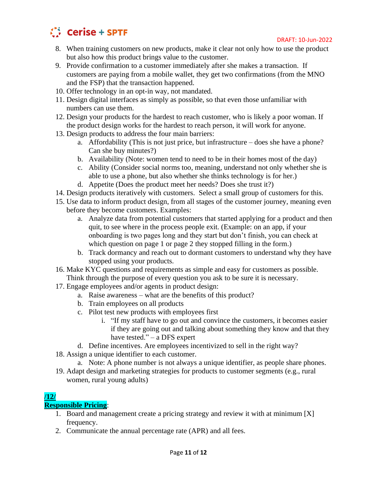

- 8. When training customers on new products, make it clear not only how to use the product but also how this product brings value to the customer.
- 9. Provide confirmation to a customer immediately after she makes a transaction. If customers are paying from a mobile wallet, they get two confirmations (from the MNO and the FSP) that the transaction happened.
- 10. Offer technology in an opt-in way, not mandated.
- 11. Design digital interfaces as simply as possible, so that even those unfamiliar with numbers can use them.
- 12. Design your products for the hardest to reach customer, who is likely a poor woman. If the product design works for the hardest to reach person, it will work for anyone.
- 13. Design products to address the four main barriers:
	- a. Affordability (This is not just price, but infrastructure does she have a phone? Can she buy minutes?)
	- b. Availability (Note: women tend to need to be in their homes most of the day)
	- c. Ability (Consider social norms too, meaning, understand not only whether she is able to use a phone, but also whether she thinks technology is for her.)
	- d. Appetite (Does the product meet her needs? Does she trust it?)
- 14. Design products iteratively with customers. Select a small group of customers for this.
- 15. Use data to inform product design, from all stages of the customer journey, meaning even before they become customers. Examples:
	- a. Analyze data from potential customers that started applying for a product and then quit, to see where in the process people exit. (Example: on an app, if your onboarding is two pages long and they start but don't finish, you can check at which question on page 1 or page 2 they stopped filling in the form.)
	- b. Track dormancy and reach out to dormant customers to understand why they have stopped using your products.
- 16. Make KYC questions and requirements as simple and easy for customers as possible. Think through the purpose of every question you ask to be sure it is necessary.
- 17. Engage employees and/or agents in product design:
	- a. Raise awareness what are the benefits of this product?
	- b. Train employees on all products
	- c. Pilot test new products with employees first
		- i. "If my staff have to go out and convince the customers, it becomes easier if they are going out and talking about something they know and that they have tested." – a DFS expert
	- d. Define incentives. Are employees incentivized to sell in the right way?
- 18. Assign a unique identifier to each customer.
	- a. Note: A phone number is not always a unique identifier, as people share phones.
- 19. Adapt design and marketing strategies for products to customer segments (e.g., rural women, rural young adults)

# **/12/**

#### **Responsible Pricing**:

- 1. Board and management create a pricing strategy and review it with at minimum [X] frequency.
- 2. Communicate the annual percentage rate (APR) and all fees.